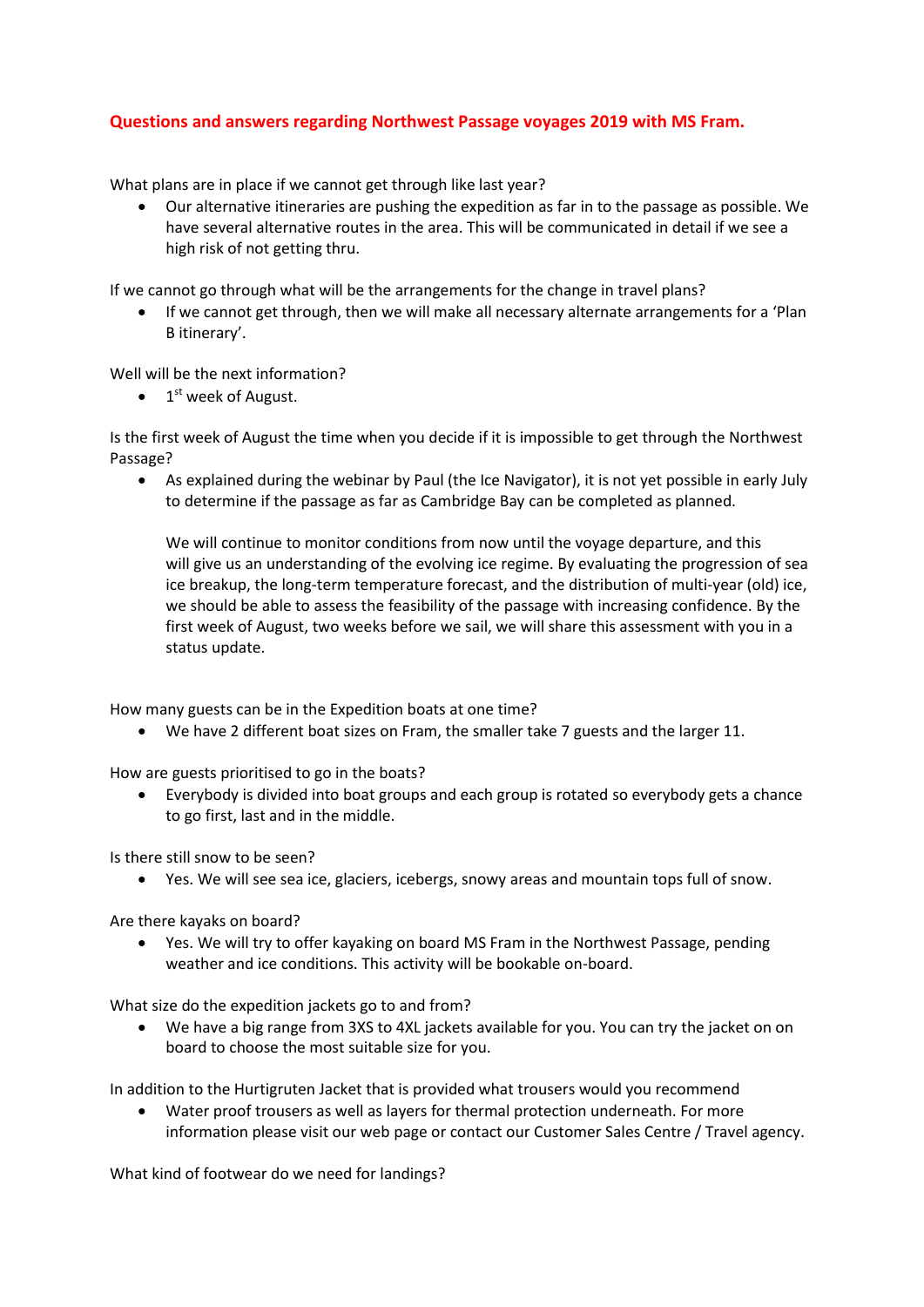## **Questions and answers regarding Northwest Passage voyages 2019 with MS Fram.**

What plans are in place if we cannot get through like last year?

 Our alternative itineraries are pushing the expedition as far in to the passage as possible. We have several alternative routes in the area. This will be communicated in detail if we see a high risk of not getting thru.

If we cannot go through what will be the arrangements for the change in travel plans?

 If we cannot get through, then we will make all necessary alternate arrangements for a 'Plan B itinerary'.

Well will be the next information?

• 1<sup>st</sup> week of August.

Is the first week of August the time when you decide if it is impossible to get through the Northwest Passage?

 As explained during the webinar by Paul (the Ice Navigator), it is not yet possible in early July to determine if the passage as far as Cambridge Bay can be completed as planned.

We will continue to monitor conditions from now until the voyage departure, and this will give us an understanding of the evolving ice regime. By evaluating the progression of sea ice breakup, the long-term temperature forecast, and the distribution of multi-year (old) ice, we should be able to assess the feasibility of the passage with increasing confidence. By the first week of August, two weeks before we sail, we will share this assessment with you in a status update.

How many guests can be in the Expedition boats at one time?

We have 2 different boat sizes on Fram, the smaller take 7 guests and the larger 11.

How are guests prioritised to go in the boats?

 Everybody is divided into boat groups and each group is rotated so everybody gets a chance to go first, last and in the middle.

Is there still snow to be seen?

Yes. We will see sea ice, glaciers, icebergs, snowy areas and mountain tops full of snow.

Are there kayaks on board?

 Yes. We will try to offer kayaking on board MS Fram in the Northwest Passage, pending weather and ice conditions. This activity will be bookable on-board.

What size do the expedition jackets go to and from?

 We have a big range from 3XS to 4XL jackets available for you. You can try the jacket on on board to choose the most suitable size for you.

In addition to the Hurtigruten Jacket that is provided what trousers would you recommend

 Water proof trousers as well as layers for thermal protection underneath. For more information please visit our web page or contact our Customer Sales Centre / Travel agency.

What kind of footwear do we need for landings?